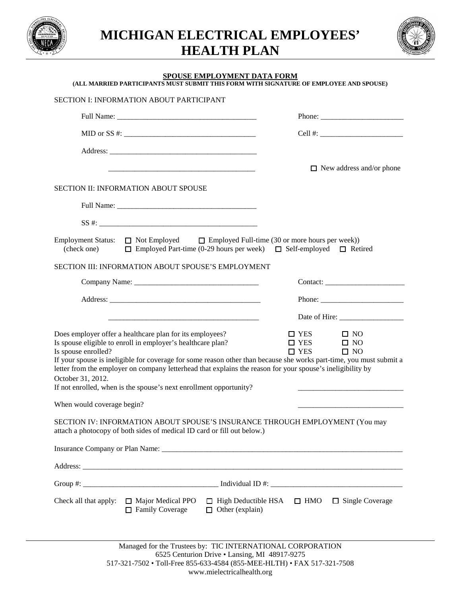

**MICHIGAN ELECTRICAL EMPLOYEES' HEALTH PLAN**



## **SPOUSE EMPLOYMENT DATA FORM**

**(ALL MARRIED PARTICIPANTS MUST SUBMIT THIS FORM WITH SIGNATURE OF EMPLOYEE AND SPOUSE)**

| SECTION I: INFORMATION ABOUT PARTICIPANT                                                                                                                                                                                                                                                                                                                                                                                                                                                                                                                                                                                                                                                                                                                       |                                                                                                                                                                                                                                                                                                                                                                                                              |
|----------------------------------------------------------------------------------------------------------------------------------------------------------------------------------------------------------------------------------------------------------------------------------------------------------------------------------------------------------------------------------------------------------------------------------------------------------------------------------------------------------------------------------------------------------------------------------------------------------------------------------------------------------------------------------------------------------------------------------------------------------------|--------------------------------------------------------------------------------------------------------------------------------------------------------------------------------------------------------------------------------------------------------------------------------------------------------------------------------------------------------------------------------------------------------------|
|                                                                                                                                                                                                                                                                                                                                                                                                                                                                                                                                                                                                                                                                                                                                                                |                                                                                                                                                                                                                                                                                                                                                                                                              |
|                                                                                                                                                                                                                                                                                                                                                                                                                                                                                                                                                                                                                                                                                                                                                                |                                                                                                                                                                                                                                                                                                                                                                                                              |
|                                                                                                                                                                                                                                                                                                                                                                                                                                                                                                                                                                                                                                                                                                                                                                |                                                                                                                                                                                                                                                                                                                                                                                                              |
|                                                                                                                                                                                                                                                                                                                                                                                                                                                                                                                                                                                                                                                                                                                                                                | $\Box$ New address and/or phone                                                                                                                                                                                                                                                                                                                                                                              |
| SECTION II: INFORMATION ABOUT SPOUSE                                                                                                                                                                                                                                                                                                                                                                                                                                                                                                                                                                                                                                                                                                                           |                                                                                                                                                                                                                                                                                                                                                                                                              |
|                                                                                                                                                                                                                                                                                                                                                                                                                                                                                                                                                                                                                                                                                                                                                                |                                                                                                                                                                                                                                                                                                                                                                                                              |
|                                                                                                                                                                                                                                                                                                                                                                                                                                                                                                                                                                                                                                                                                                                                                                |                                                                                                                                                                                                                                                                                                                                                                                                              |
| Employment Status: $\Box$ Not Employed $\Box$ Employed Full-time (30 or more hours per week))<br>(check one) $\Box$ Employed Part-time (0-29 hours per week) $\Box$ Self-employed $\Box$ Retired<br>SECTION III: INFORMATION ABOUT SPOUSE'S EMPLOYMENT                                                                                                                                                                                                                                                                                                                                                                                                                                                                                                         |                                                                                                                                                                                                                                                                                                                                                                                                              |
|                                                                                                                                                                                                                                                                                                                                                                                                                                                                                                                                                                                                                                                                                                                                                                |                                                                                                                                                                                                                                                                                                                                                                                                              |
|                                                                                                                                                                                                                                                                                                                                                                                                                                                                                                                                                                                                                                                                                                                                                                | Phone: $\frac{1}{\sqrt{1-\frac{1}{2}}\sqrt{1-\frac{1}{2}}\sqrt{1-\frac{1}{2}}\sqrt{1-\frac{1}{2}}\sqrt{1-\frac{1}{2}}\sqrt{1-\frac{1}{2}}\sqrt{1-\frac{1}{2}}\sqrt{1-\frac{1}{2}}\sqrt{1-\frac{1}{2}}\sqrt{1-\frac{1}{2}}\sqrt{1-\frac{1}{2}}\sqrt{1-\frac{1}{2}}\sqrt{1-\frac{1}{2}}\sqrt{1-\frac{1}{2}}\sqrt{1-\frac{1}{2}}\sqrt{1-\frac{1}{2}}\sqrt{1-\frac{1}{2}}\sqrt{1-\frac{1}{2}}\sqrt{1-\frac{1}{2$ |
|                                                                                                                                                                                                                                                                                                                                                                                                                                                                                                                                                                                                                                                                                                                                                                |                                                                                                                                                                                                                                                                                                                                                                                                              |
| Does employer offer a healthcare plan for its employees?<br>$\Box$ YES<br>$\Box$ NO<br>Is spouse eligible to enroll in employer's healthcare plan?<br>$\Box$ YES<br>$\square$ NO<br>Is spouse enrolled?<br>$\Box$ YES<br>$\square$ NO<br>If your spouse is ineligible for coverage for some reason other than because she works part-time, you must submit a<br>letter from the employer on company letterhead that explains the reason for your spouse's ineligibility by<br>October 31, 2012.<br>If not enrolled, when is the spouse's next enrollment opportunity?<br>When would coverage begin?<br>SECTION IV: INFORMATION ABOUT SPOUSE'S INSURANCE THROUGH EMPLOYMENT (You may<br>attach a photocopy of both sides of medical ID card or fill out below.) |                                                                                                                                                                                                                                                                                                                                                                                                              |
|                                                                                                                                                                                                                                                                                                                                                                                                                                                                                                                                                                                                                                                                                                                                                                |                                                                                                                                                                                                                                                                                                                                                                                                              |
| Check all that apply: $\Box$ Major Medical PPO<br>$\Box$ Family Coverage<br>$\Box$ Other (explain)                                                                                                                                                                                                                                                                                                                                                                                                                                                                                                                                                                                                                                                             | $\Box$ High Deductible HSA $\Box$ HMO $\Box$ Single Coverage                                                                                                                                                                                                                                                                                                                                                 |